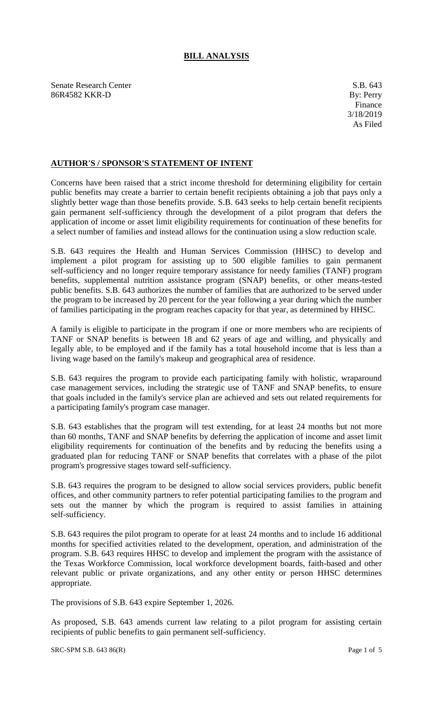## **BILL ANALYSIS**

Senate Research Center S.B. 643 86R4582 KKR-D By: Perry

## **AUTHOR'S / SPONSOR'S STATEMENT OF INTENT**

Concerns have been raised that a strict income threshold for determining eligibility for certain public benefits may create a barrier to certain benefit recipients obtaining a job that pays only a slightly better wage than those benefits provide. S.B. 643 seeks to help certain benefit recipients gain permanent self-sufficiency through the development of a pilot program that defers the application of income or asset limit eligibility requirements for continuation of these benefits for a select number of families and instead allows for the continuation using a slow reduction scale.

S.B. 643 requires the Health and Human Services Commission (HHSC) to develop and implement a pilot program for assisting up to 500 eligible families to gain permanent self-sufficiency and no longer require temporary assistance for needy families (TANF) program benefits, supplemental nutrition assistance program (SNAP) benefits, or other means-tested public benefits. S.B. 643 authorizes the number of families that are authorized to be served under the program to be increased by 20 percent for the year following a year during which the number of families participating in the program reaches capacity for that year, as determined by HHSC.

A family is eligible to participate in the program if one or more members who are recipients of TANF or SNAP benefits is between 18 and 62 years of age and willing, and physically and legally able, to be employed and if the family has a total household income that is less than a living wage based on the family's makeup and geographical area of residence.

S.B. 643 requires the program to provide each participating family with holistic, wraparound case management services, including the strategic use of TANF and SNAP benefits, to ensure that goals included in the family's service plan are achieved and sets out related requirements for a participating family's program case manager.

S.B. 643 establishes that the program will test extending, for at least 24 months but not more than 60 months, TANF and SNAP benefits by deferring the application of income and asset limit eligibility requirements for continuation of the benefits and by reducing the benefits using a graduated plan for reducing TANF or SNAP benefits that correlates with a phase of the pilot program's progressive stages toward self-sufficiency.

S.B. 643 requires the program to be designed to allow social services providers, public benefit offices, and other community partners to refer potential participating families to the program and sets out the manner by which the program is required to assist families in attaining self-sufficiency.

S.B. 643 requires the pilot program to operate for at least 24 months and to include 16 additional months for specified activities related to the development, operation, and administration of the program. S.B. 643 requires HHSC to develop and implement the program with the assistance of the Texas Workforce Commission, local workforce development boards, faith-based and other relevant public or private organizations, and any other entity or person HHSC determines appropriate.

The provisions of S.B. 643 expire September 1, 2026.

As proposed, S.B. 643 amends current law relating to a pilot program for assisting certain recipients of public benefits to gain permanent self-sufficiency.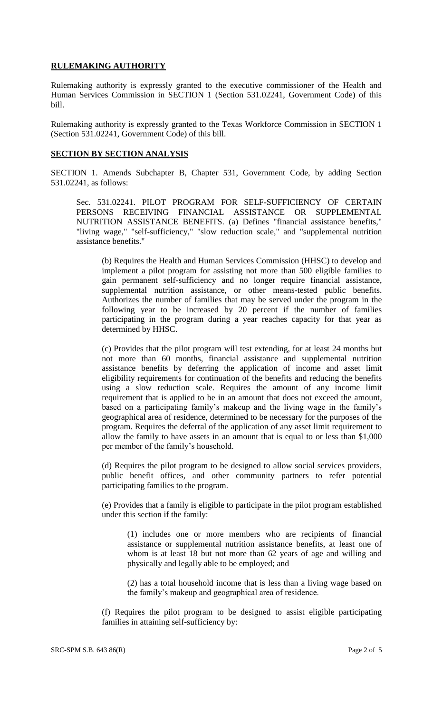## **RULEMAKING AUTHORITY**

Rulemaking authority is expressly granted to the executive commissioner of the Health and Human Services Commission in SECTION 1 (Section 531.02241, Government Code) of this bill.

Rulemaking authority is expressly granted to the Texas Workforce Commission in SECTION 1 (Section 531.02241, Government Code) of this bill.

## **SECTION BY SECTION ANALYSIS**

SECTION 1. Amends Subchapter B, Chapter 531, Government Code, by adding Section 531.02241, as follows:

Sec. 531.02241. PILOT PROGRAM FOR SELF-SUFFICIENCY OF CERTAIN PERSONS RECEIVING FINANCIAL ASSISTANCE OR SUPPLEMENTAL NUTRITION ASSISTANCE BENEFITS. (a) Defines "financial assistance benefits," "living wage," "self-sufficiency," "slow reduction scale," and "supplemental nutrition assistance benefits."

(b) Requires the Health and Human Services Commission (HHSC) to develop and implement a pilot program for assisting not more than 500 eligible families to gain permanent self-sufficiency and no longer require financial assistance, supplemental nutrition assistance, or other means-tested public benefits. Authorizes the number of families that may be served under the program in the following year to be increased by 20 percent if the number of families participating in the program during a year reaches capacity for that year as determined by HHSC.

(c) Provides that the pilot program will test extending, for at least 24 months but not more than 60 months, financial assistance and supplemental nutrition assistance benefits by deferring the application of income and asset limit eligibility requirements for continuation of the benefits and reducing the benefits using a slow reduction scale. Requires the amount of any income limit requirement that is applied to be in an amount that does not exceed the amount, based on a participating family's makeup and the living wage in the family's geographical area of residence, determined to be necessary for the purposes of the program. Requires the deferral of the application of any asset limit requirement to allow the family to have assets in an amount that is equal to or less than \$1,000 per member of the family's household.

(d) Requires the pilot program to be designed to allow social services providers, public benefit offices, and other community partners to refer potential participating families to the program.

(e) Provides that a family is eligible to participate in the pilot program established under this section if the family:

(1) includes one or more members who are recipients of financial assistance or supplemental nutrition assistance benefits, at least one of whom is at least 18 but not more than 62 years of age and willing and physically and legally able to be employed; and

(2) has a total household income that is less than a living wage based on the family's makeup and geographical area of residence.

(f) Requires the pilot program to be designed to assist eligible participating families in attaining self-sufficiency by: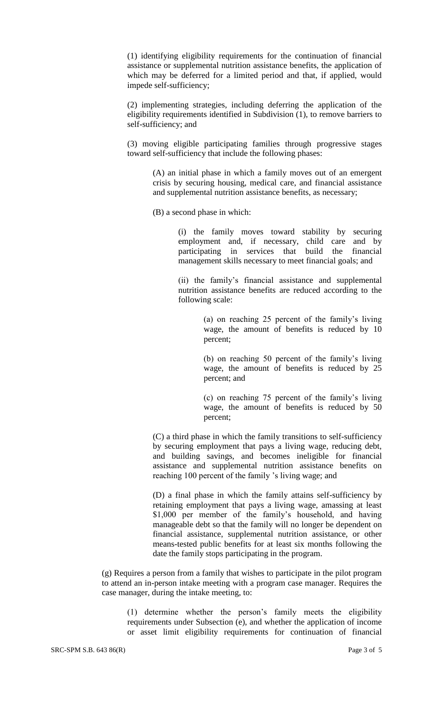(1) identifying eligibility requirements for the continuation of financial assistance or supplemental nutrition assistance benefits, the application of which may be deferred for a limited period and that, if applied, would impede self-sufficiency;

(2) implementing strategies, including deferring the application of the eligibility requirements identified in Subdivision (1), to remove barriers to self-sufficiency; and

(3) moving eligible participating families through progressive stages toward self-sufficiency that include the following phases:

> (A) an initial phase in which a family moves out of an emergent crisis by securing housing, medical care, and financial assistance and supplemental nutrition assistance benefits, as necessary;

(B) a second phase in which:

(i) the family moves toward stability by securing employment and, if necessary, child care and by participating in services that build the financial management skills necessary to meet financial goals; and

(ii) the family's financial assistance and supplemental nutrition assistance benefits are reduced according to the following scale:

> (a) on reaching 25 percent of the family's living wage, the amount of benefits is reduced by 10 percent;

> (b) on reaching 50 percent of the family's living wage, the amount of benefits is reduced by 25 percent; and

> (c) on reaching 75 percent of the family's living wage, the amount of benefits is reduced by 50 percent;

(C) a third phase in which the family transitions to self-sufficiency by securing employment that pays a living wage, reducing debt, and building savings, and becomes ineligible for financial assistance and supplemental nutrition assistance benefits on reaching 100 percent of the family 's living wage; and

(D) a final phase in which the family attains self-sufficiency by retaining employment that pays a living wage, amassing at least \$1,000 per member of the family's household, and having manageable debt so that the family will no longer be dependent on financial assistance, supplemental nutrition assistance, or other means-tested public benefits for at least six months following the date the family stops participating in the program.

(g) Requires a person from a family that wishes to participate in the pilot program to attend an in-person intake meeting with a program case manager. Requires the case manager, during the intake meeting, to:

(1) determine whether the person's family meets the eligibility requirements under Subsection (e), and whether the application of income or asset limit eligibility requirements for continuation of financial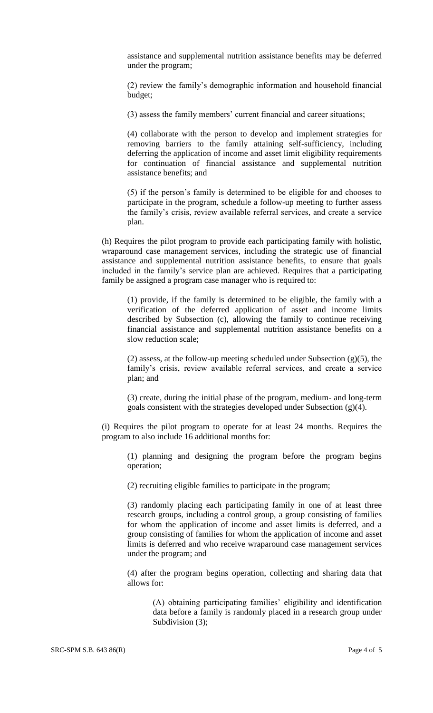assistance and supplemental nutrition assistance benefits may be deferred under the program;

(2) review the family's demographic information and household financial budget;

(3) assess the family members' current financial and career situations;

(4) collaborate with the person to develop and implement strategies for removing barriers to the family attaining self-sufficiency, including deferring the application of income and asset limit eligibility requirements for continuation of financial assistance and supplemental nutrition assistance benefits; and

(5) if the person's family is determined to be eligible for and chooses to participate in the program, schedule a follow-up meeting to further assess the family's crisis, review available referral services, and create a service plan.

(h) Requires the pilot program to provide each participating family with holistic, wraparound case management services, including the strategic use of financial assistance and supplemental nutrition assistance benefits, to ensure that goals included in the family's service plan are achieved. Requires that a participating family be assigned a program case manager who is required to:

(1) provide, if the family is determined to be eligible, the family with a verification of the deferred application of asset and income limits described by Subsection (c), allowing the family to continue receiving financial assistance and supplemental nutrition assistance benefits on a slow reduction scale;

(2) assess, at the follow-up meeting scheduled under Subsection  $(g)(5)$ , the family's crisis, review available referral services, and create a service plan; and

(3) create, during the initial phase of the program, medium- and long-term goals consistent with the strategies developed under Subsection (g)(4).

(i) Requires the pilot program to operate for at least 24 months. Requires the program to also include 16 additional months for:

(1) planning and designing the program before the program begins operation;

(2) recruiting eligible families to participate in the program;

(3) randomly placing each participating family in one of at least three research groups, including a control group, a group consisting of families for whom the application of income and asset limits is deferred, and a group consisting of families for whom the application of income and asset limits is deferred and who receive wraparound case management services under the program; and

(4) after the program begins operation, collecting and sharing data that allows for:

(A) obtaining participating families' eligibility and identification data before a family is randomly placed in a research group under Subdivision  $(3)$ ;